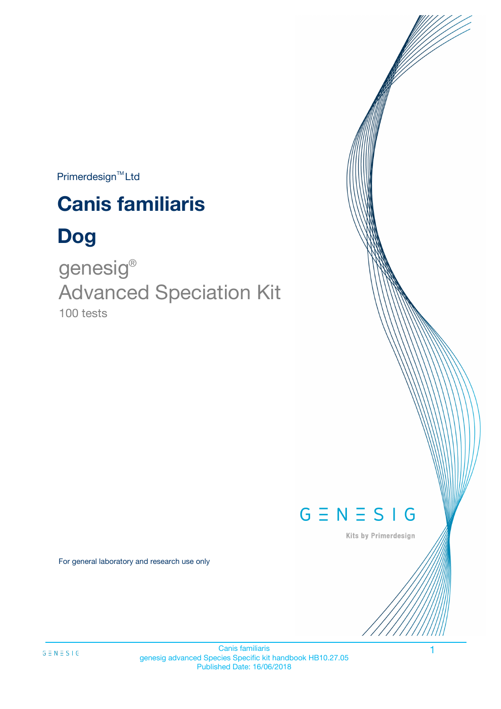$Primerdesign^{\text{TM}}$ Ltd

# **Canis familiaris**

# **Dog**

100 tests genesig ® Advanced Speciation Kit



Kits by Primerdesign

For general laboratory and research use only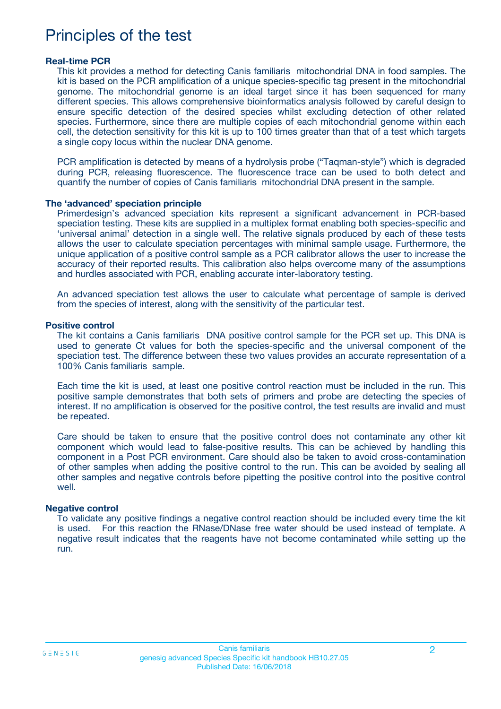## Principles of the test

#### **Real-time PCR**

This kit provides a method for detecting Canis familiaris mitochondrial DNA in food samples. The kit is based on the PCR amplification of a unique species-specific tag present in the mitochondrial genome. The mitochondrial genome is an ideal target since it has been sequenced for many different species. This allows comprehensive bioinformatics analysis followed by careful design to ensure specific detection of the desired species whilst excluding detection of other related species. Furthermore, since there are multiple copies of each mitochondrial genome within each cell, the detection sensitivity for this kit is up to 100 times greater than that of a test which targets a single copy locus within the nuclear DNA genome.

PCR amplification is detected by means of a hydrolysis probe ("Taqman-style") which is degraded during PCR, releasing fluorescence. The fluorescence trace can be used to both detect and quantify the number of copies of Canis familiaris mitochondrial DNA present in the sample.

#### **The 'advanced' speciation principle**

Primerdesign's advanced speciation kits represent a significant advancement in PCR-based speciation testing. These kits are supplied in a multiplex format enabling both species-specific and 'universal animal' detection in a single well. The relative signals produced by each of these tests allows the user to calculate speciation percentages with minimal sample usage. Furthermore, the unique application of a positive control sample as a PCR calibrator allows the user to increase the accuracy of their reported results. This calibration also helps overcome many of the assumptions and hurdles associated with PCR, enabling accurate inter-laboratory testing.

An advanced speciation test allows the user to calculate what percentage of sample is derived from the species of interest, along with the sensitivity of the particular test.

#### **Positive control**

The kit contains a Canis familiaris DNA positive control sample for the PCR set up. This DNA is used to generate Ct values for both the species-specific and the universal component of the speciation test. The difference between these two values provides an accurate representation of a 100% Canis familiaris sample.

Each time the kit is used, at least one positive control reaction must be included in the run. This positive sample demonstrates that both sets of primers and probe are detecting the species of interest. If no amplification is observed for the positive control, the test results are invalid and must be repeated.

Care should be taken to ensure that the positive control does not contaminate any other kit component which would lead to false-positive results. This can be achieved by handling this component in a Post PCR environment. Care should also be taken to avoid cross-contamination of other samples when adding the positive control to the run. This can be avoided by sealing all other samples and negative controls before pipetting the positive control into the positive control well.

#### **Negative control**

To validate any positive findings a negative control reaction should be included every time the kit is used. For this reaction the RNase/DNase free water should be used instead of template. A negative result indicates that the reagents have not become contaminated while setting up the run.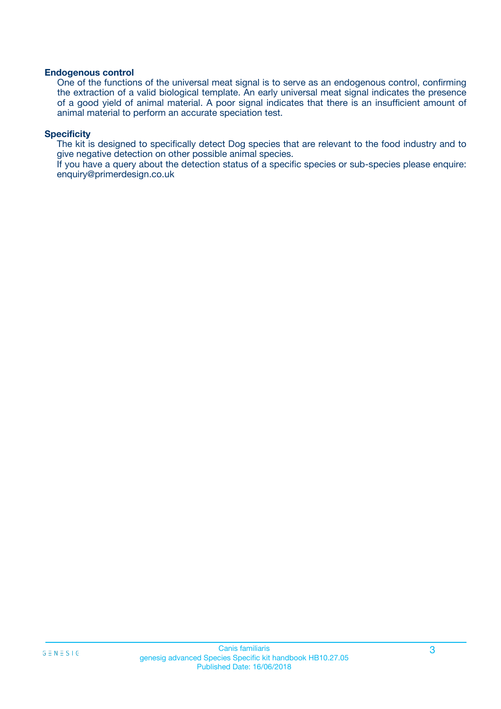#### **Endogenous control**

One of the functions of the universal meat signal is to serve as an endogenous control, confirming the extraction of a valid biological template. An early universal meat signal indicates the presence of a good yield of animal material. A poor signal indicates that there is an insufficient amount of animal material to perform an accurate speciation test.

#### **Specificity**

The kit is designed to specifically detect Dog species that are relevant to the food industry and to give negative detection on other possible animal species.

If you have a query about the detection status of a specific species or sub-species please enquire: enquiry@primerdesign.co.uk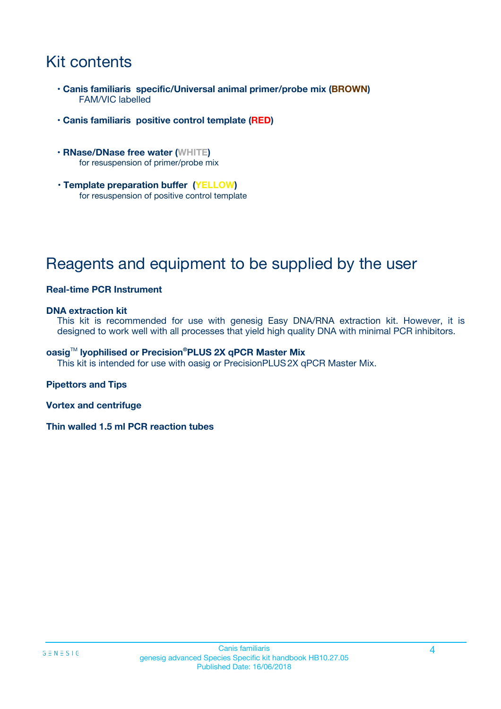## Kit contents

- **Canis familiaris specific/Universal animal primer/probe mix (BROWN)** FAM/VIC labelled
- **Canis familiaris positive control template (RED)**
- **RNase/DNase free water (WHITE)** for resuspension of primer/probe mix
- **Template preparation buffer (YELLOW)** for resuspension of positive control template

## Reagents and equipment to be supplied by the user

#### **Real-time PCR Instrument**

#### **DNA extraction kit**

This kit is recommended for use with genesig Easy DNA/RNA extraction kit. However, it is designed to work well with all processes that yield high quality DNA with minimal PCR inhibitors.

#### **oasig**TM **lyophilised or Precision®PLUS 2X qPCR Master Mix**

This kit is intended for use with oasig or PrecisionPLUS2X qPCR Master Mix.

#### **Pipettors and Tips**

**Vortex and centrifuge**

**Thin walled 1.5 ml PCR reaction tubes**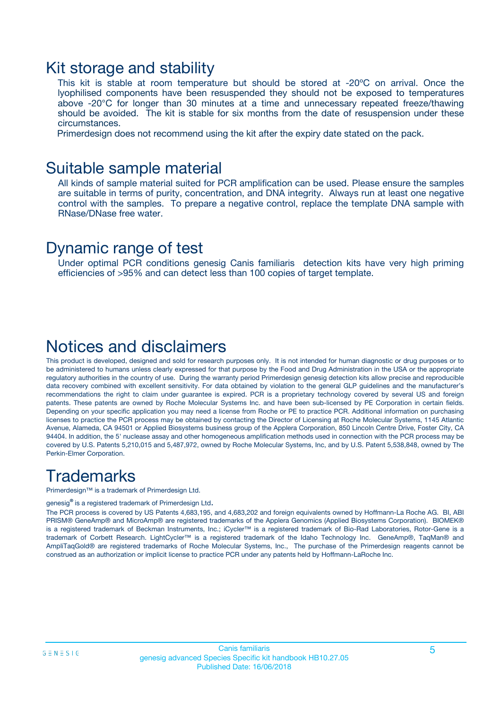### Kit storage and stability

This kit is stable at room temperature but should be stored at -20ºC on arrival. Once the lyophilised components have been resuspended they should not be exposed to temperatures above -20°C for longer than 30 minutes at a time and unnecessary repeated freeze/thawing should be avoided. The kit is stable for six months from the date of resuspension under these circumstances.

Primerdesign does not recommend using the kit after the expiry date stated on the pack.

### Suitable sample material

All kinds of sample material suited for PCR amplification can be used. Please ensure the samples are suitable in terms of purity, concentration, and DNA integrity. Always run at least one negative control with the samples. To prepare a negative control, replace the template DNA sample with RNase/DNase free water.

### Dynamic range of test

Under optimal PCR conditions genesig Canis familiaris detection kits have very high priming efficiencies of >95% and can detect less than 100 copies of target template.

### Notices and disclaimers

This product is developed, designed and sold for research purposes only. It is not intended for human diagnostic or drug purposes or to be administered to humans unless clearly expressed for that purpose by the Food and Drug Administration in the USA or the appropriate regulatory authorities in the country of use. During the warranty period Primerdesign genesig detection kits allow precise and reproducible data recovery combined with excellent sensitivity. For data obtained by violation to the general GLP guidelines and the manufacturer's recommendations the right to claim under guarantee is expired. PCR is a proprietary technology covered by several US and foreign patents. These patents are owned by Roche Molecular Systems Inc. and have been sub-licensed by PE Corporation in certain fields. Depending on your specific application you may need a license from Roche or PE to practice PCR. Additional information on purchasing licenses to practice the PCR process may be obtained by contacting the Director of Licensing at Roche Molecular Systems, 1145 Atlantic Avenue, Alameda, CA 94501 or Applied Biosystems business group of the Applera Corporation, 850 Lincoln Centre Drive, Foster City, CA 94404. In addition, the 5' nuclease assay and other homogeneous amplification methods used in connection with the PCR process may be covered by U.S. Patents 5,210,015 and 5,487,972, owned by Roche Molecular Systems, Inc, and by U.S. Patent 5,538,848, owned by The Perkin-Elmer Corporation.

## **Trademarks**

Primerdesign™ is a trademark of Primerdesign Ltd.

genesig**®** is a registered trademark of Primerdesign Ltd.

The PCR process is covered by US Patents 4,683,195, and 4,683,202 and foreign equivalents owned by Hoffmann-La Roche AG. BI, ABI PRISM® GeneAmp® and MicroAmp® are registered trademarks of the Applera Genomics (Applied Biosystems Corporation). BIOMEK® is a registered trademark of Beckman Instruments, Inc.; iCycler™ is a registered trademark of Bio-Rad Laboratories, Rotor-Gene is a trademark of Corbett Research. LightCycler™ is a registered trademark of the Idaho Technology Inc. GeneAmp®, TaqMan® and AmpliTaqGold® are registered trademarks of Roche Molecular Systems, Inc., The purchase of the Primerdesign reagents cannot be construed as an authorization or implicit license to practice PCR under any patents held by Hoffmann-LaRoche Inc.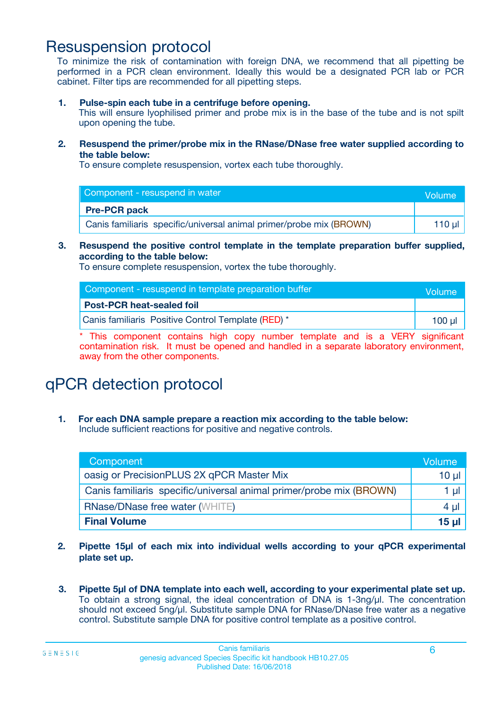### Resuspension protocol

To minimize the risk of contamination with foreign DNA, we recommend that all pipetting be performed in a PCR clean environment. Ideally this would be a designated PCR lab or PCR cabinet. Filter tips are recommended for all pipetting steps.

**1. Pulse-spin each tube in a centrifuge before opening.**

This will ensure lyophilised primer and probe mix is in the base of the tube and is not spilt upon opening the tube.

**2. Resuspend the primer/probe mix in the RNase/DNase free water supplied according to the table below:**

To ensure complete resuspension, vortex each tube thoroughly.

| Component - resuspend in water                                      |          |  |
|---------------------------------------------------------------------|----------|--|
| <b>Pre-PCR pack</b>                                                 |          |  |
| Canis familiaris specific/universal animal primer/probe mix (BROWN) | 110 µl 1 |  |

#### **3. Resuspend the positive control template in the template preparation buffer supplied, according to the table below:**

To ensure complete resuspension, vortex the tube thoroughly.

| Component - resuspend in template preparation buffer | <b>Nolume</b> |
|------------------------------------------------------|---------------|
| <b>Post-PCR heat-sealed foil</b>                     |               |
| Canis familiaris Positive Control Template (RED) *   | $100$ ul      |

\* This component contains high copy number template and is a VERY significant contamination risk. It must be opened and handled in a separate laboratory environment, away from the other components.

# qPCR detection protocol

**1. For each DNA sample prepare a reaction mix according to the table below:** Include sufficient reactions for positive and negative controls.

| Component                                                           | Volume   |
|---------------------------------------------------------------------|----------|
| oasig or PrecisionPLUS 2X qPCR Master Mix                           | $10 \mu$ |
| Canis familiaris specific/universal animal primer/probe mix (BROWN) | 1 µl     |
| <b>RNase/DNase free water (WHITE)</b>                               | 4 µl     |
| <b>Final Volume</b>                                                 | 15 ul    |

- **2. Pipette 15µl of each mix into individual wells according to your qPCR experimental plate set up.**
- **3. Pipette 5µl of DNA template into each well, according to your experimental plate set up.** To obtain a strong signal, the ideal concentration of DNA is 1-3ng/µl. The concentration should not exceed 5ng/µl. Substitute sample DNA for RNase/DNase free water as a negative control. Substitute sample DNA for positive control template as a positive control.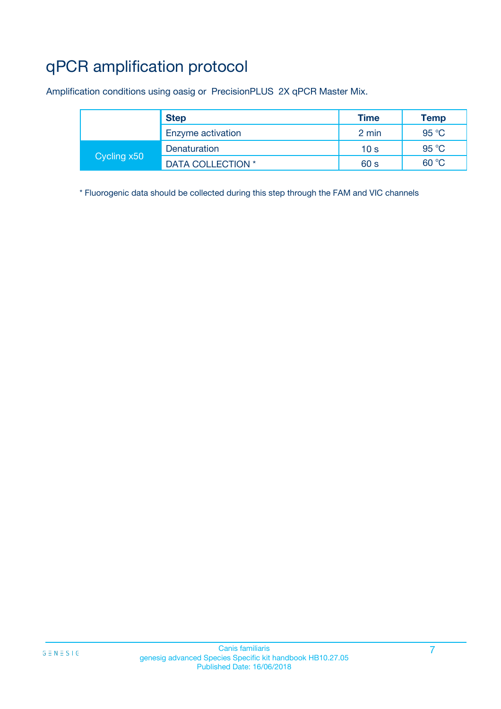# qPCR amplification protocol

Amplification conditions using oasig or PrecisionPLUS 2X qPCR Master Mix.

|             | <b>Step</b>       | <b>Time</b>     | <b>Temp</b>    |
|-------------|-------------------|-----------------|----------------|
|             | Enzyme activation | 2 min           | 95 $°C$        |
| Cycling x50 | Denaturation      | 10 <sub>s</sub> | 95 $\degree$ C |
|             | DATA COLLECTION * | 60 s            | 60 °C          |

\* Fluorogenic data should be collected during this step through the FAM and VIC channels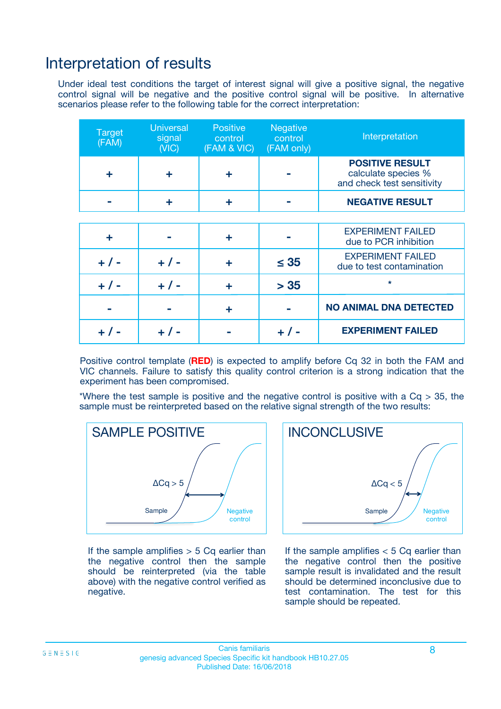### Interpretation of results

Under ideal test conditions the target of interest signal will give a positive signal, the negative control signal will be negative and the positive control signal will be positive. In alternative scenarios please refer to the following table for the correct interpretation:

| <b>Target</b><br>(FAM) | <b>Universal</b><br>signal<br>(NIC) | <b>Positive</b><br>control<br>(FAM & VIC) | <b>Negative</b><br>control<br>(FAM only) | Interpretation                                                              |
|------------------------|-------------------------------------|-------------------------------------------|------------------------------------------|-----------------------------------------------------------------------------|
| ÷                      | ÷                                   | ÷                                         |                                          | <b>POSITIVE RESULT</b><br>calculate species %<br>and check test sensitivity |
|                        |                                     | ÷                                         |                                          | <b>NEGATIVE RESULT</b>                                                      |
|                        |                                     |                                           |                                          |                                                                             |
| ÷                      |                                     | ÷                                         |                                          | <b>EXPERIMENT FAILED</b><br>due to PCR inhibition                           |
| $+$ / -                | $+ 1 -$                             | ٠                                         | $\leq$ 35                                | <b>EXPERIMENT FAILED</b><br>due to test contamination                       |
| $+ 1 -$                | $+ 1 -$                             | ÷                                         | > 35                                     | $\star$                                                                     |
|                        |                                     | ÷                                         |                                          | <b>NO ANIMAL DNA DETECTED</b>                                               |
|                        | $+/-$                               |                                           | + / -                                    | <b>EXPERIMENT FAILED</b>                                                    |

Positive control template (**RED**) is expected to amplify before Cq 32 in both the FAM and VIC channels. Failure to satisfy this quality control criterion is a strong indication that the experiment has been compromised.

\*Where the test sample is positive and the negative control is positive with a  $Cq > 35$ , the sample must be reinterpreted based on the relative signal strength of the two results:



If the sample amplifies  $> 5$  Cq earlier than the negative control then the sample should be reinterpreted (via the table above) with the negative control verified as negative.



If the sample amplifies  $< 5$  Cq earlier than the negative control then the positive sample result is invalidated and the result should be determined inconclusive due to test contamination. The test for this sample should be repeated.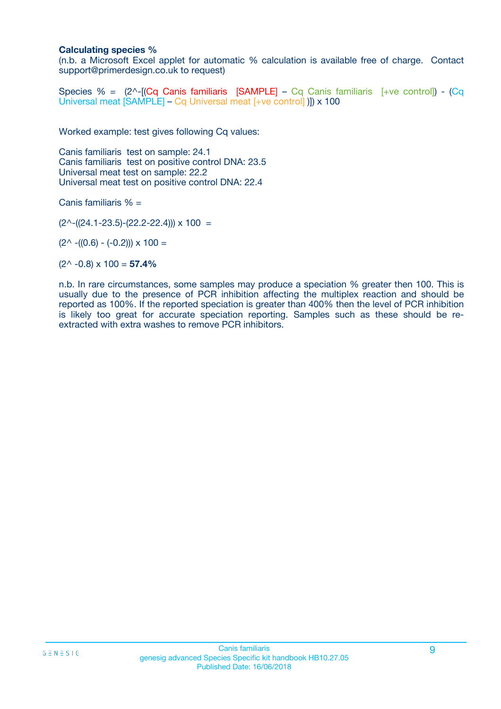#### **Calculating species %**

(n.b. a Microsoft Excel applet for automatic % calculation is available free of charge. Contact support@primerdesign.co.uk to request)

Species % =  $(2^{\wedge}$ -[**(Cq Canis familiaris [SAMPLE]** – Cq Canis familiaris [+ve control]) - **(Cq** Universal meat [SAMPLE] – Cq Universal meat [+ve control] )]) x 100

Worked example: test gives following Cq values:

Canis familiaris test on sample: 24.1 Canis familiaris test on positive control DNA: 23.5 Universal meat test on sample: 22.2 Universal meat test on positive control DNA: 22.4

Canis familiaris % =

 $(2^{\wedge}-(24.1-23.5)-(22.2-22.4))) \times 100 =$ 

 $(2^{\wedge}$  -((0.6) - (-0.2)))  $\times$  100 =

 $(2^{\wedge}$  -0.8)  $\times$  100 = **57.4%** 

n.b. In rare circumstances, some samples may produce a speciation % greater then 100. This is usually due to the presence of PCR inhibition affecting the multiplex reaction and should be reported as 100%. If the reported speciation is greater than 400% then the level of PCR inhibition is likely too great for accurate speciation reporting. Samples such as these should be reextracted with extra washes to remove PCR inhibitors.